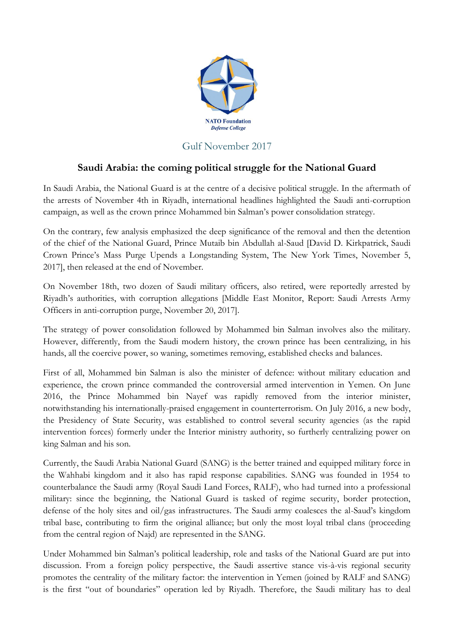

## Gulf November 2017

## **Saudi Arabia: the coming political struggle for the National Guard**

In Saudi Arabia, the National Guard is at the centre of a decisive political struggle. In the aftermath of the arrests of November 4th in Riyadh, international headlines highlighted the Saudi anti-corruption campaign, as well as the crown prince Mohammed bin Salman's power consolidation strategy.

On the contrary, few analysis emphasized the deep significance of the removal and then the detention of the chief of the National Guard, Prince Mutaib bin Abdullah al-Saud [David D. Kirkpatrick, Saudi Crown Prince's Mass Purge Upends a Longstanding System, The New York Times, November 5, 2017], then released at the end of November.

On November 18th, two dozen of Saudi military officers, also retired, were reportedly arrested by Riyadh's authorities, with corruption allegations [Middle East Monitor, Report: Saudi Arrests Army Officers in anti-corruption purge, November 20, 2017].

The strategy of power consolidation followed by Mohammed bin Salman involves also the military. However, differently, from the Saudi modern history, the crown prince has been centralizing, in his hands, all the coercive power, so waning, sometimes removing, established checks and balances.

First of all, Mohammed bin Salman is also the minister of defence: without military education and experience, the crown prince commanded the controversial armed intervention in Yemen. On June 2016, the Prince Mohammed bin Nayef was rapidly removed from the interior minister, notwithstanding his internationally-praised engagement in counterterrorism. On July 2016, a new body, the Presidency of State Security, was established to control several security agencies (as the rapid intervention forces) formerly under the Interior ministry authority, so furtherly centralizing power on king Salman and his son.

Currently, the Saudi Arabia National Guard (SANG) is the better trained and equipped military force in the Wahhabi kingdom and it also has rapid response capabilities. SANG was founded in 1954 to counterbalance the Saudi army (Royal Saudi Land Forces, RALF), who had turned into a professional military: since the beginning, the National Guard is tasked of regime security, border protection, defense of the holy sites and oil/gas infrastructures. The Saudi army coalesces the al-Saud's kingdom tribal base, contributing to firm the original alliance; but only the most loyal tribal clans (proceeding from the central region of Najd) are represented in the SANG.

Under Mohammed bin Salman's political leadership, role and tasks of the National Guard are put into discussion. From a foreign policy perspective, the Saudi assertive stance vis-à-vis regional security promotes the centrality of the military factor: the intervention in Yemen (joined by RALF and SANG) is the first "out of boundaries" operation led by Riyadh. Therefore, the Saudi military has to deal